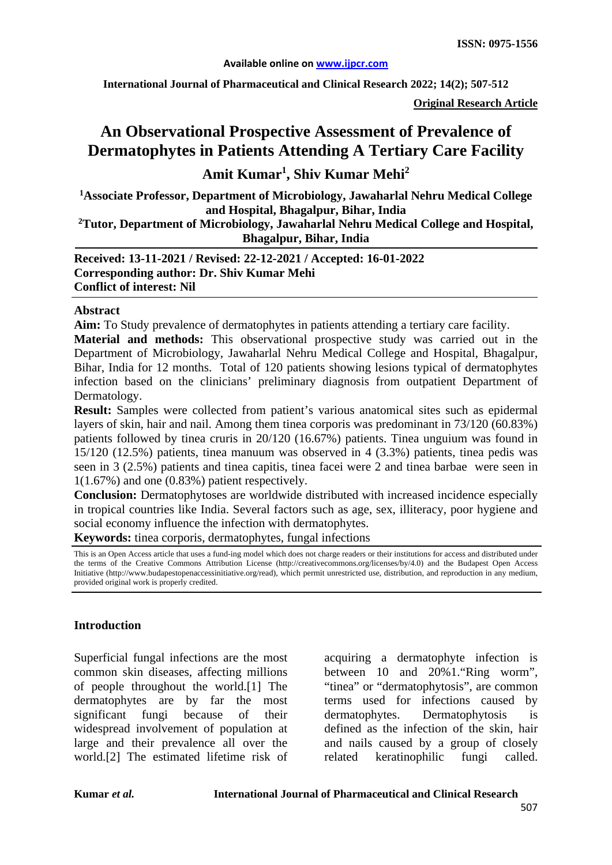**International Journal of Pharmaceutical and Clinical Research 2022; 14(2); 507-512**

**Original Research Article**

# **An Observational Prospective Assessment of Prevalence of Dermatophytes in Patients Attending A Tertiary Care Facility**

## **Amit Kumar1 , Shiv Kumar Mehi<sup>2</sup>**

**1 Associate Professor, Department of Microbiology, Jawaharlal Nehru Medical College and Hospital, Bhagalpur, Bihar, India**

**2Tutor, Department of Microbiology, Jawaharlal Nehru Medical College and Hospital, Bhagalpur, Bihar, India**

**Received: 13-11-2021 / Revised: 22-12-2021 / Accepted: 16-01-2022 Corresponding author: Dr. Shiv Kumar Mehi Conflict of interest: Nil**

#### **Abstract**

**Aim:** To Study prevalence of dermatophytes in patients attending a tertiary care facility.

**Material and methods:** This observational prospective study was carried out in the Department of Microbiology, Jawaharlal Nehru Medical College and Hospital, Bhagalpur, Bihar, India for 12 months. Total of 120 patients showing lesions typical of dermatophytes infection based on the clinicians' preliminary diagnosis from outpatient Department of Dermatology.

**Result:** Samples were collected from patient's various anatomical sites such as epidermal layers of skin, hair and nail. Among them tinea corporis was predominant in 73/120 (60.83%) patients followed by tinea cruris in 20/120 (16.67%) patients. Tinea unguium was found in 15/120 (12.5%) patients, tinea manuum was observed in 4 (3.3%) patients, tinea pedis was seen in 3 (2.5%) patients and tinea capitis, tinea facei were 2 and tinea barbae were seen in 1(1.67%) and one (0.83%) patient respectively.

**Conclusion:** Dermatophytoses are worldwide distributed with increased incidence especially in tropical countries like India. Several factors such as age, sex, illiteracy, poor hygiene and social economy influence the infection with dermatophytes.

**Keywords:** tinea corporis, dermatophytes, fungal infections

This is an Open Access article that uses a fund-ing model which does not charge readers or their institutions for access and distributed under the terms of the Creative Commons Attribution License (http://creativecommons.org/licenses/by/4.0) and the Budapest Open Access Initiative (http://www.budapestopenaccessinitiative.org/read), which permit unrestricted use, distribution, and reproduction in any medium, provided original work is properly credited.

#### **Introduction**

Superficial fungal infections are the most common skin diseases, affecting millions of people throughout the world.[1] The dermatophytes are by far the most significant fungi because of their widespread involvement of population at large and their prevalence all over the world.[2] The estimated lifetime risk of acquiring a dermatophyte infection is between 10 and 20%1."Ring worm", "tinea" or "dermatophytosis", are common terms used for infections caused by dermatophytes. Dermatophytosis is defined as the infection of the skin, hair and nails caused by a group of closely related keratinophilic fungi called.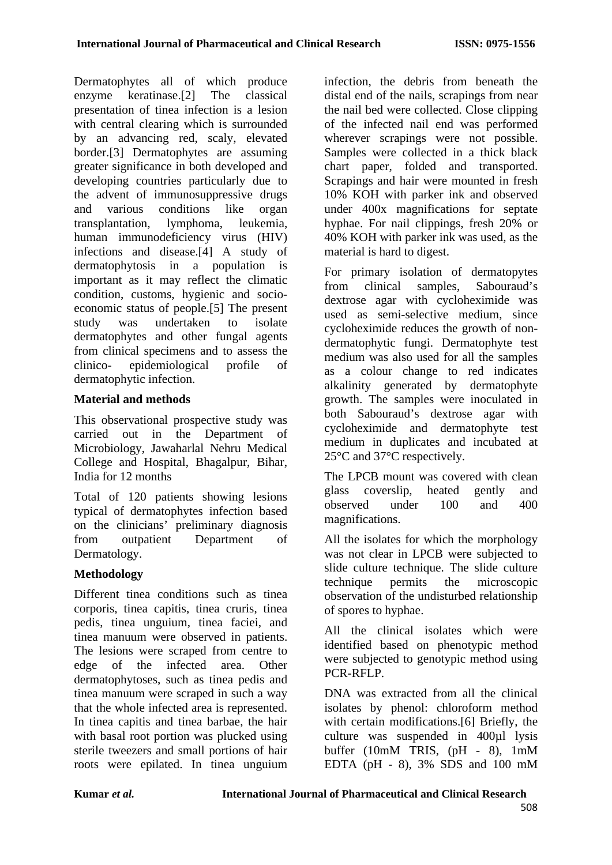Dermatophytes all of which produce enzyme keratinase.[2] The classical presentation of tinea infection is a lesion with central clearing which is surrounded by an advancing red, scaly, elevated border.[3] Dermatophytes are assuming greater significance in both developed and developing countries particularly due to the advent of immunosuppressive drugs and various conditions like organ transplantation, lymphoma, leukemia, human immunodeficiency virus (HIV) infections and disease.[4] A study of dermatophytosis in a population is important as it may reflect the climatic condition, customs, hygienic and socioeconomic status of people.[5] The present study was undertaken to isolate dermatophytes and other fungal agents from clinical specimens and to assess the clinico- epidemiological profile of dermatophytic infection.

#### **Material and methods**

This observational prospective study was carried out in the Department of Microbiology, Jawaharlal Nehru Medical College and Hospital, Bhagalpur, Bihar, India for 12 months

Total of 120 patients showing lesions typical of dermatophytes infection based on the clinicians' preliminary diagnosis from outpatient Department of Dermatology.

### **Methodology**

Different tinea conditions such as tinea corporis, tinea capitis, tinea cruris, tinea pedis, tinea unguium, tinea faciei, and tinea manuum were observed in patients. The lesions were scraped from centre to edge of the infected area. Other dermatophytoses, such as tinea pedis and tinea manuum were scraped in such a way that the whole infected area is represented. In tinea capitis and tinea barbae, the hair with basal root portion was plucked using sterile tweezers and small portions of hair roots were epilated. In tinea unguium infection, the debris from beneath the distal end of the nails, scrapings from near the nail bed were collected. Close clipping of the infected nail end was performed wherever scrapings were not possible. Samples were collected in a thick black chart paper, folded and transported. Scrapings and hair were mounted in fresh 10% KOH with parker ink and observed under 400x magnifications for septate hyphae. For nail clippings, fresh 20% or 40% KOH with parker ink was used, as the material is hard to digest.

For primary isolation of dermatopytes from clinical samples, Sabouraud's dextrose agar with cycloheximide was used as semi-selective medium, since cycloheximide reduces the growth of nondermatophytic fungi. Dermatophyte test medium was also used for all the samples as a colour change to red indicates alkalinity generated by dermatophyte growth. The samples were inoculated in both Sabouraud's dextrose agar with cycloheximide and dermatophyte test medium in duplicates and incubated at 25°C and 37°C respectively.

The LPCB mount was covered with clean glass coverslip, heated gently and observed under 100 and 400 magnifications.

All the isolates for which the morphology was not clear in LPCB were subjected to slide culture technique. The slide culture technique permits the microscopic observation of the undisturbed relationship of spores to hyphae.

All the clinical isolates which were identified based on phenotypic method were subjected to genotypic method using PCR-RFLP.

DNA was extracted from all the clinical isolates by phenol: chloroform method with certain modifications.[6] Briefly, the culture was suspended in 400µl lysis buffer  $(10mM$  TRIS,  $(pH - 8)$ ,  $1mM$ EDTA ( $pH - 8$ ),  $3\%$  SDS and 100 mM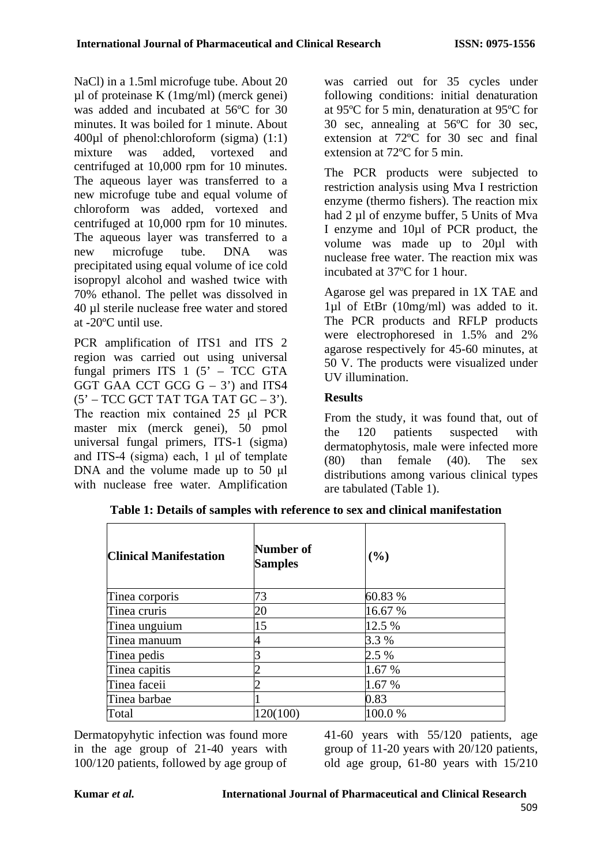NaCl) in a 1.5ml microfuge tube. About 20 µl of proteinase K (1mg/ml) (merck genei) was added and incubated at 56ºC for 30 minutes. It was boiled for 1 minute. About 400µl of phenol:chloroform (sigma) (1:1) mixture was added, vortexed and centrifuged at 10,000 rpm for 10 minutes. The aqueous layer was transferred to a new microfuge tube and equal volume of chloroform was added, vortexed and centrifuged at 10,000 rpm for 10 minutes. The aqueous layer was transferred to a new microfuge tube. DNA was precipitated using equal volume of ice cold isopropyl alcohol and washed twice with 70% ethanol. The pellet was dissolved in 40 µl sterile nuclease free water and stored at -20ºC until use.

PCR amplification of ITS1 and ITS 2 region was carried out using universal fungal primers ITS  $1 (5' - TCC GTA$ GGT GAA CCT GCG  $G - 3'$  and ITS4  $(5' - TCC GCT TAT TGA TAT GC - 3').$ The reaction mix contained 25 μl PCR master mix (merck genei), 50 pmol universal fungal primers, ITS-1 (sigma) and ITS-4 (sigma) each, 1 μl of template DNA and the volume made up to 50 μl with nuclease free water. Amplification was carried out for 35 cycles under following conditions: initial denaturation at 95ºC for 5 min, denaturation at 95ºC for 30 sec, annealing at 56ºC for 30 sec, extension at 72ºC for 30 sec and final extension at 72ºC for 5 min.

The PCR products were subjected to restriction analysis using Mva I restriction enzyme (thermo fishers). The reaction mix had 2 µl of enzyme buffer, 5 Units of Mva I enzyme and 10µl of PCR product, the volume was made up to 20µl with nuclease free water. The reaction mix was incubated at 37ºC for 1 hour.

Agarose gel was prepared in 1X TAE and 1µl of EtBr (10mg/ml) was added to it. The PCR products and RFLP products were electrophoresed in 1.5% and 2% agarose respectively for 45-60 minutes, at 50 V. The products were visualized under UV illumination.

#### **Results**

From the study, it was found that, out of the 120 patients suspected with dermatophytosis, male were infected more (80) than female (40). The sex distributions among various clinical types are tabulated (Table 1).

| <b>Clinical Manifestation</b> | Number of<br><b>Samples</b> | (%)     |  |  |  |
|-------------------------------|-----------------------------|---------|--|--|--|
| Tinea corporis                | 73                          | 60.83 % |  |  |  |
| Tinea cruris                  | 20                          | 16.67 % |  |  |  |
| Tinea unguium                 | 15                          | 12.5 %  |  |  |  |
| Tinea manuum                  | 4                           | 3.3 %   |  |  |  |
| Tinea pedis                   |                             | 2.5 %   |  |  |  |
| Tinea capitis                 |                             | 1.67 %  |  |  |  |
| Tinea faceii                  |                             | 1.67 %  |  |  |  |
| Tinea barbae                  |                             | 0.83    |  |  |  |
| Total                         | 120(100)                    | 100.0%  |  |  |  |

**Table 1: Details of samples with reference to sex and clinical manifestation**

Dermatopyhytic infection was found more in the age group of 21-40 years with 100/120 patients, followed by age group of

41-60 years with 55/120 patients, age group of 11-20 years with 20/120 patients, old age group, 61-80 years with 15/210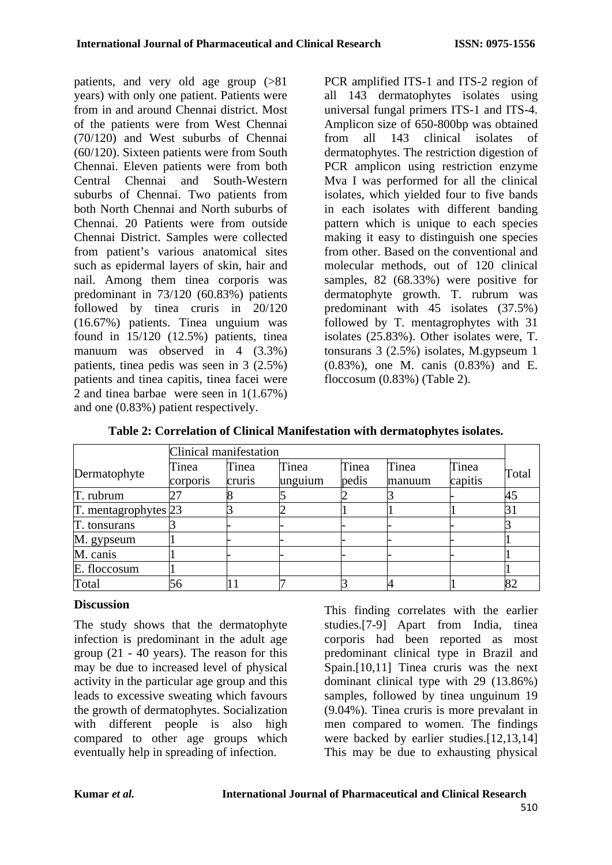patients, and very old age group (>81 years) with only one patient. Patients were from in and around Chennai district. Most of the patients were from West Chennai (70/120) and West suburbs of Chennai (60/120). Sixteen patients were from South Chennai. Eleven patients were from both Central Chennai and South-Western suburbs of Chennai. Two patients from both North Chennai and North suburbs of Chennai. 20 Patients were from outside Chennai District. Samples were collected from patient's various anatomical sites such as epidermal layers of skin, hair and nail. Among them tinea corporis was predominant in 73/120 (60.83%) patients followed by tinea cruris in 20/120 (16.67%) patients. Tinea unguium was found in 15/120 (12.5%) patients, tinea manuum was observed in 4 (3.3%) patients, tinea pedis was seen in 3 (2.5%) patients and tinea capitis, tinea facei were 2 and tinea barbae were seen in 1(1.67%) and one (0.83%) patient respectively.

PCR amplified ITS-1 and ITS-2 region of all 143 dermatophytes isolates using universal fungal primers ITS-1 and ITS-4. Amplicon size of 650-800bp was obtained from all 143 clinical isolates of dermatophytes. The restriction digestion of PCR amplicon using restriction enzyme Mva I was performed for all the clinical isolates, which yielded four to five bands in each isolates with different banding pattern which is unique to each species making it easy to distinguish one species from other. Based on the conventional and molecular methods, out of 120 clinical samples, 82 (68.33%) were positive for dermatophyte growth. T. rubrum was predominant with 45 isolates (37.5%) followed by T. mentagrophytes with 31 isolates (25.83%). Other isolates were, T. tonsurans 3 (2.5%) isolates, M.gypseum 1 (0.83%), one M. canis (0.83%) and E. floccosum (0.83%) (Table 2).

|                      | Clinical manifestation |                 |                  |                |                 |                  |       |
|----------------------|------------------------|-----------------|------------------|----------------|-----------------|------------------|-------|
| Dermatophyte         | Tinea<br>corporis      | Tinea<br>cruris | Tinea<br>unguium | Tinea<br>pedis | Tinea<br>manuum | Tinea<br>capitis | Total |
| T. rubrum            | 27                     |                 |                  |                |                 |                  | 45    |
| T. mentagrophytes 23 |                        |                 |                  |                |                 |                  | 31    |
| T. tonsurans         |                        |                 |                  |                |                 |                  |       |
| M. gypseum           |                        |                 |                  |                |                 |                  |       |
| M. canis             |                        |                 |                  |                |                 |                  |       |
| E. floccosum         |                        |                 |                  |                |                 |                  |       |
| Total                | 56                     |                 |                  |                |                 |                  | 82    |

**Table 2: Correlation of Clinical Manifestation with dermatophytes isolates.**

### **Discussion**

The study shows that the dermatophyte infection is predominant in the adult age group (21 - 40 years). The reason for this may be due to increased level of physical activity in the particular age group and this leads to excessive sweating which favours the growth of dermatophytes. Socialization with different people is also high compared to other age groups which eventually help in spreading of infection.

This finding correlates with the earlier studies.[7-9] Apart from India, tinea corporis had been reported as most predominant clinical type in Brazil and Spain.[10,11] Tinea cruris was the next dominant clinical type with 29 (13.86%) samples, followed by tinea unguinum 19 (9.04%). Tinea cruris is more prevalant in men compared to women. The findings were backed by earlier studies.<sup>[12,13,14]</sup> This may be due to exhausting physical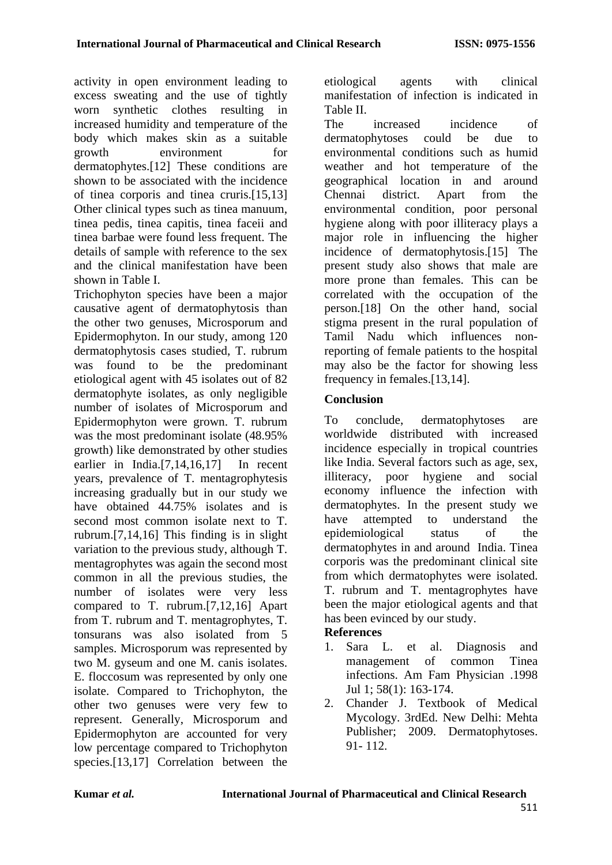activity in open environment leading to excess sweating and the use of tightly worn synthetic clothes resulting in increased humidity and temperature of the body which makes skin as a suitable<br>growth environment for environment for dermatophytes.[12] These conditions are shown to be associated with the incidence of tinea corporis and tinea cruris.[15,13] Other clinical types such as tinea manuum, tinea pedis, tinea capitis, tinea faceii and tinea barbae were found less frequent. The details of sample with reference to the sex and the clinical manifestation have been shown in Table I.

Trichophyton species have been a major causative agent of dermatophytosis than the other two genuses, Microsporum and Epidermophyton. In our study, among 120 dermatophytosis cases studied, T. rubrum was found to be the predominant etiological agent with 45 isolates out of 82 dermatophyte isolates, as only negligible number of isolates of Microsporum and Epidermophyton were grown. T. rubrum was the most predominant isolate (48.95% growth) like demonstrated by other studies earlier in India.[7,14,16,17] In recent years, prevalence of T. mentagrophytesis increasing gradually but in our study we have obtained 44.75% isolates and is second most common isolate next to T. rubrum.[7,14,16] This finding is in slight variation to the previous study, although T. mentagrophytes was again the second most common in all the previous studies, the number of isolates were very less compared to T. rubrum.[7,12,16] Apart from T. rubrum and T. mentagrophytes, T. tonsurans was also isolated from 5 samples. Microsporum was represented by two M. gyseum and one M. canis isolates. E. floccosum was represented by only one isolate. Compared to Trichophyton, the other two genuses were very few to represent. Generally, Microsporum and Epidermophyton are accounted for very low percentage compared to Trichophyton species.[13,17] Correlation between the etiological agents with clinical manifestation of infection is indicated in Table II.

The increased incidence of dermatophytoses could be due to environmental conditions such as humid weather and hot temperature of the geographical location in and around Chennai district. Apart from the environmental condition, poor personal hygiene along with poor illiteracy plays a major role in influencing the higher incidence of dermatophytosis.[15] The present study also shows that male are more prone than females. This can be correlated with the occupation of the person.[18] On the other hand, social stigma present in the rural population of Tamil Nadu which influences nonreporting of female patients to the hospital may also be the factor for showing less frequency in females.[13,14].

#### **Conclusion**

To conclude, dermatophytoses are worldwide distributed with increased incidence especially in tropical countries like India. Several factors such as age, sex, illiteracy, poor hygiene and social economy influence the infection with dermatophytes. In the present study we have attempted to understand the epidemiological status of the dermatophytes in and around India. Tinea corporis was the predominant clinical site from which dermatophytes were isolated. T. rubrum and T. mentagrophytes have been the major etiological agents and that has been evinced by our study.

#### **References**

- 1. Sara L. et al. Diagnosis and management of common Tinea infections. Am Fam Physician .1998 Jul 1; 58(1): 163-174.
- 2. Chander J. Textbook of Medical Mycology. 3rdEd. New Delhi: Mehta Publisher; 2009. Dermatophytoses. 91- 112.